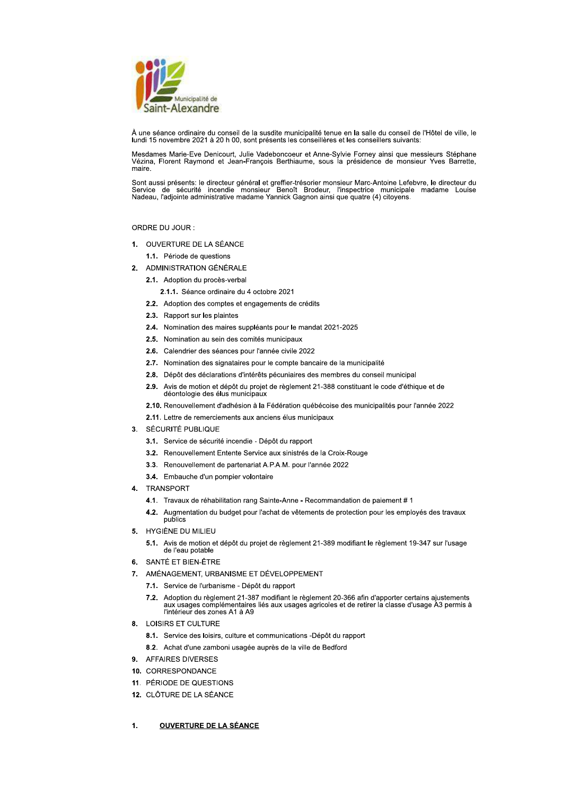

À une séance ordinaire du conseil de la susdite municipalité tenue en la salle du conseil de l'Hôtel de ville, le lundi 15 novembre 2021 à 20 h 00, sont présents les conseillères et les conseillers suivants:

Mesdames Marie-Eve Denicourt, Julie Vadeboncoeur et Anne-Sylvie Forney ainsi que messieurs Stéphane Vézina, Florent Raymond et Jean-François Berthiaume, sous la présidence de monsieur Yves Barrette, maire

Sont aussi présents: le directeur général et greffier-trésorier monsieur Marc-Antoine Lefebvre, le directeur du<br>Service de sécurité incendie monsieur Benoît Brodeur, l'inspectrice municipale madame Louise<br>Nadeau, l'adjoint

ORDRE DU JOUR :

- 1. OUVERTURE DE LA SÉANCE
	- 1.1. Période de questions
- 2. ADMINISTRATION GÉNÉRALE
	- 2.1. Adoption du procès-verbal
		- 2.1.1. Séance ordinaire du 4 octobre 2021
	- 2.2. Adoption des comptes et engagements de crédits
	- 2.3. Rapport sur les plaintes
	- 2.4. Nomination des maires suppléants pour le mandat 2021-2025
	- 2.5. Nomination au sein des comités municipaux
	- 2.6. Calendrier des séances pour l'année civile 2022
	- 2.7. Nomination des signataires pour le compte bancaire de la municipalité
	- 2.8. Dépôt des déclarations d'intérêts pécuniaires des membres du conseil municipal
	- 2.9. Avis de motion et dépôt du projet de règlement 21-388 constituant le code d'éthique et de déontologie des élus municipaux
	- 2.10. Renouvellement d'adhésion à la Fédération québécoise des municipalités pour l'année 2022
	- 2.11. Lettre de remerciements aux anciens élus municipaux
- 3. SÉCURITÉ PUBLIQUE
	- 3.1. Service de sécurité incendie Dépôt du rapport
	- 3.2. Renouvellement Entente Service aux sinistrés de la Croix-Rouge
	- 3.3. Renouvellement de partenariat A.P.A.M. pour l'année 2022
	- 3.4. Embauche d'un pompier volontaire
- $\overline{4}$ . TRANSPORT
	- 4.1. Travaux de réhabilitation rang Sainte-Anne Recommandation de paiement # 1
	- 4.2. Augmentation du budget pour l'achat de vêtements de protection pour les employés des travaux publics
- $\mathbf{5}$ HYGIÈNE DU MILIEU
	- 5.1. Avis de motion et dépôt du projet de règlement 21-389 modifiant le règlement 19-347 sur l'usage de l'eau potable
- 6. SANTÉ ET BIEN-ÊTRE
- 7. AMÉNAGEMENT, URBANISME ET DÉVELOPPEMENT
	- 7.1. Service de l'urbanisme Dépôt du rapport
	- 7.2. Adoption du règlement 21-387 modifiant le règlement 20-366 afin d'apporter certains ajustements aux usages complémentaires liés aux usages agricoles et de retirer la classe d'usage A3 permis à l'intérieur des zones A1 à A9
- 8. **LOISIRS ET CULTURE** 
	- 8.1. Service des loisirs, culture et communications -Dépôt du rapport
	- 8.2. Achat d'une zamboni usagée auprès de la ville de Bedford
- 9. AFFAIRES DIVERSES
- 10. CORRESPONDANCE
- 11. PÉRIODE DE QUESTIONS
- 12. CLÔTURE DE LA SÉANCE
- $\blacktriangleleft$ **OUVERTURE DE LA SÉANCE**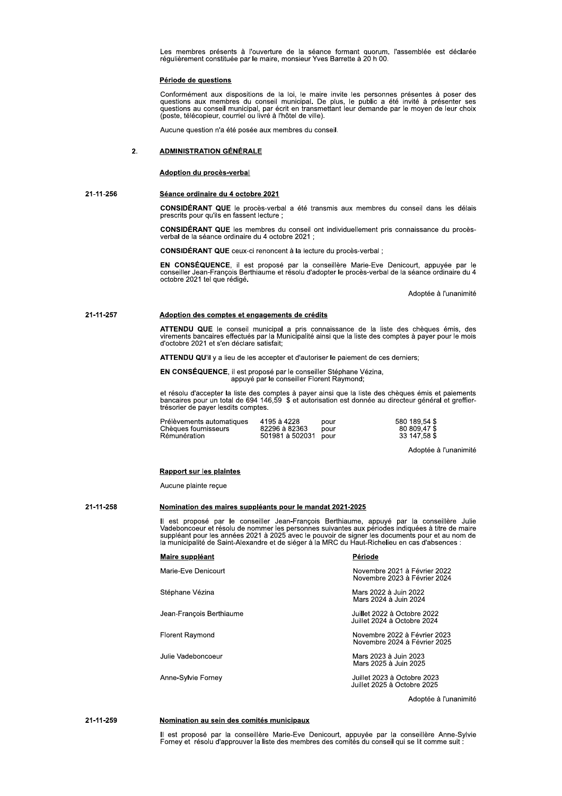Les membres présents à l'ouverture de la séance formant quorum, l'assemblée est déclarée régulièrement constituée par le maire, monsieur Yves Barrette à 20 h 00.

## Période de questions

Conformément aux dispositions de la loi, le maire invite les personnes présentes à poser des questions aux membres du conseil municipal. De plus, le public a été invité à présenter ses questions au conseil municipal, par é (poste, télécopieur, courriel ou livré à l'hôtel de ville).

Aucune question n'a été posée aux membres du conseil.

### $2.$ **ADMINISTRATION GÉNÉRALE**

Adoption du procès-verbal

#### 21-11-256 Séance ordinaire du 4 octobre 2021

CONSIDÉRANT QUE le procès-verbal a été transmis aux membres du conseil dans les délais prescrits pour qu'ils en fassent lecture ;

**CONSIDÉRANT QUE** les membres du conseil ont individuellement pris connaissance du procès-<br>verbal de la séance ordinaire du 4 octobre 2021 ;

CONSIDÉRANT QUE ceux-ci renoncent à la lecture du procès-verbal ;

EN CONSÉQUENCE, il est proposé par la conseillère Marie-Eve Denicourt, appuyée par le conseiller Jean-François Berthiaume et résolu d'adopter le procès-verbal de la séance ordinaire du 4 octobre 2021 tel que rédigé.

Adoptée à l'unanimité

### 21-11-257 Adoption des comptes et engagements de crédits

ATTENDU QUE le conseil municipal a pris connaissance de la liste des chèques émis, des<br>virements bancaires effectués par la Municipalité ainsi que la liste des comptes à payer pour le mois d'octobre 2021 et s'en déclare satisfait

ATTENDU QU'il y a lieu de les accepter et d'autoriser le paiement de ces derniers;

EN CONSÉQUENCE, il est proposé par le conseiller Stéphane Vézina, appuyé par le conseiller Florent Raymond;

et résolu d'accepter la liste des comptes à payer ainsi que la liste des chèques émis et paiements<br>bancaires pour un total de 694 146,59 \$ et autorisation est donnée au directeur général et greffiertrésorier de payer lesdits comptes.

| Prélèvements automatiques | 4195 à 4228          | pour | 580 189.54 \$ |
|---------------------------|----------------------|------|---------------|
| Chèques fournisseurs      | 82296 à 82363        | pour | 80 809.47 \$  |
| Rémunération              | 501981 à 502031 pour |      | 33 147.58 \$  |

Adoptée à l'unanimité

## **Rapport sur les plaintes**

Aucune plainte reçue

#### 21-11-258 Nomination des maires suppléants pour le mandat 2021-2025

Il est proposé par le conseiller Jean-François Berthiaume, appuyé par la conseillère Julie Vadeboncoeur et résolu de nommer les personnes suivantes aux périodes indiquées à titre de maire suppléant pour les années 2021 à 2

| Maire suppléant          | Période                                                      |
|--------------------------|--------------------------------------------------------------|
| Marie-Eve Denicourt      | Novembre 2021 à Février 2022<br>Novembre 2023 à Février 2024 |
| Stéphane Vézina          | Mars 2022 à Juin 2022<br>Mars 2024 à Juin 2024               |
| Jean-François Berthiaume | Juillet 2022 à Octobre 2022<br>Juillet 2024 à Octobre 2024   |
| <b>Florent Raymond</b>   | Novembre 2022 à Février 2023<br>Novembre 2024 à Février 2025 |
| Julie Vadeboncoeur       | Mars 2023 à Juin 2023<br>Mars 2025 à Juin 2025               |
| Anne-Sylvie Forney       | Juillet 2023 à Octobre 2023<br>Juillet 2025 à Octobre 2025   |

Adoptée à l'unanimité

# 21-11-259

## Nomination au sein des comités municipaux

Il est proposé par la conseillère Marie-Eve Denicourt, appuyée par la conseillère Anne-Sylvie Forney et résolu d'approuver la liste des membres des comités du conseil qui se lit comme suit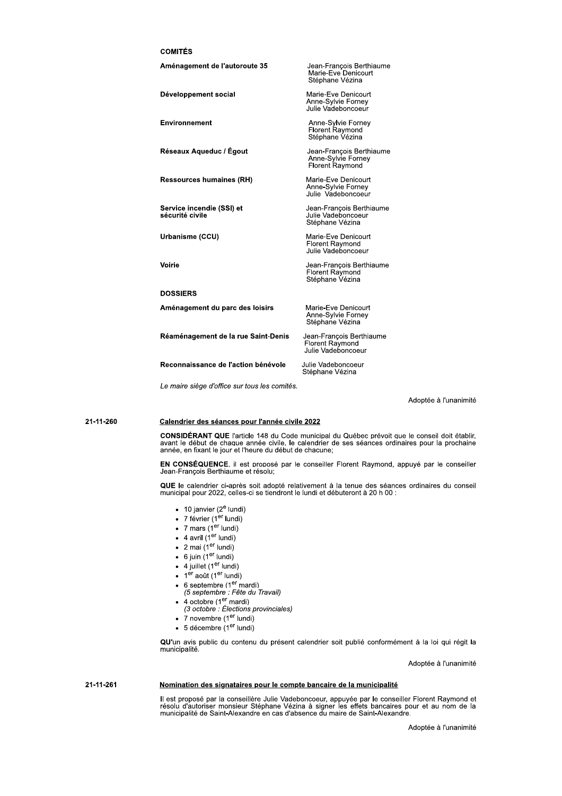## **COMITÉS**

Aménagement de l'autoroute 35

Développement social

Environnement

Réseaux Aqueduc / Égout

**Ressources humaines (RH)** 

Service incendie (SSI) et sécurité civile

Urbanisme (CCU)

Voirie

**DOSSIERS** 

Aménagement du parc des loisirs

Réaménagement de la rue Saint-Denis

Julie Vadeboncoeur Reconnaissance de l'action bénévole Stéphane Vézina

Le maire siège d'office sur tous les comités.

Adoptée à l'unanimité

21-11-260

## Calendrier des séances pour l'année civile 2022

CONSIDÉRANT QUE l'article 148 du Code municipal du Québec prévoit que le conseil doit établir. Source de la début de chaque année civile, le calendrier de ses séances ordinaires pour la prochaine<br>année, en fixant le jour et l'heure du début de chacune;

Jean-François Berthiaume<br>Marie-Eve Denicourt

Stéphane Vézina

Marie-Eve Denicourt<br>Anne-Sylvie Forney<br>Julie Vadeboncoeur

Anne-Sylvie Forney<br>Florent Raymond

Marie-Eve Denicourt Anne-Sylvie Forney<br>Julie Vadeboncoeur

Stéphane Vézina

Marie-Eve Denicourt Florent Raymond Julie Vadeboncoeur

Marie-Eve Denicourt Anne-Sylvie Forney<br>Stéphane Vézina

Julie Vadeboncoeur

Jean-François Berthiaume<br>Florent Raymond

Jean-François Berthiaume Anne-Sylvie Forney<br>Florent Raymond

Jean-François Berthiaume<br>Julie Vadeboncoeur

Jean-François Berthiaume Florent Raymond<br>Stéphane Vézina

Stéphane Vézina

EN CONSÉQUENCE, il est proposé par le conseiller Florent Raymond, appuyé par le conseiller Jean-François Berthiaume et résolu;

QUE le calendrier ci-après soit adopté relativement à la tenue des séances ordinaires du conseil municipal pour 2022, celles-ci se tiendront le lundi et débuteront à 20 h 00 :

- 10 janvier  $(2^e$  lundi)
- 7 février (1<sup>er</sup> lundi)
- 7 mars  $(1<sup>er</sup>$  lundi)
- $\bullet$  4 avril (1<sup>er</sup> lundi)
- $\bullet$  2 mai (1<sup>er</sup> lundi)
- $\frac{2 \text{ mi}}{1 \text{ mi}}$  (1  $\frac{1 \text{ mi}}{1 \text{ mi}}$ )<br>•  $\frac{4 \text{ juillet}}{1 \text{ mi}}$  (1<sup>er</sup> lundi)
- 
- $\bullet$  1<sup>er</sup> août (1<sup>er</sup> lundi)
- 
- 6 septembre (1<sup>er</sup> mardi)<br>(5 septembre : Fête du Travail)
- 
- 4 octobre (1<sup>er</sup> mardi)<br>(3 octobre : Élections provinciales)
- 7 novembre (1<sup>er</sup> lundi)
- 5 décembre (1<sup>er</sup> lundi)

QU'un avis public du contenu du présent calendrier soit publié conformément à la loi qui régit la municipalité.

Adoptée à l'unanimité

#### 21-11-261 Nomination des signataires pour le compte bancaire de la municipalité

Il est proposé par la conseillère Julie Vadeboncoeur, appuyée par le conseiller Florent Raymond et<br>résolu d'autoriser monsieur Stéphane Vézina à signer les effets bancaires pour et au nom de la<br>municipalité de Saint-Alexan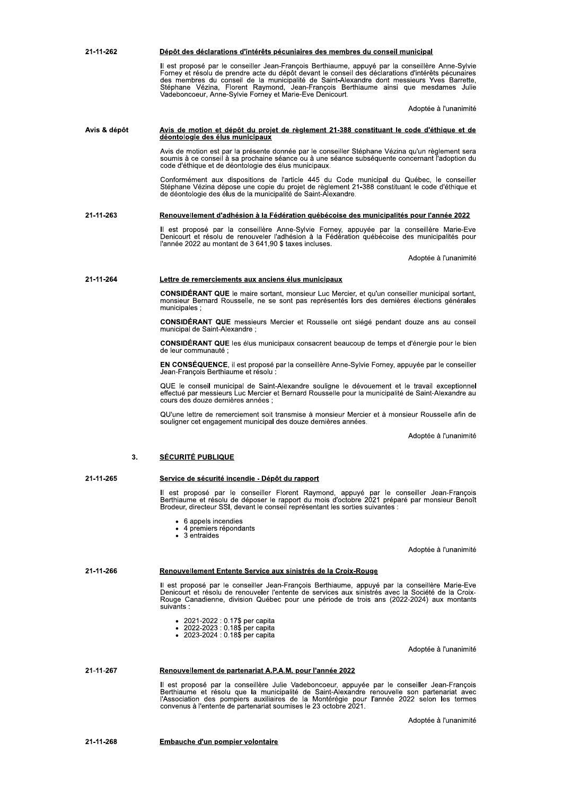| 21-11-262    | Dépôt des déclarations d'intérêts pécuniaires des membres du conseil municipal                                                                                                                                                                                                                                                                                                                                                                          |
|--------------|---------------------------------------------------------------------------------------------------------------------------------------------------------------------------------------------------------------------------------------------------------------------------------------------------------------------------------------------------------------------------------------------------------------------------------------------------------|
|              | Il est proposé par le conseiller Jean-François Berthiaume, appuyé par la conseillère Anne-Sylvie<br>Forney et résolu de prendre acte du dépôt devant le conseil des déclarations d'intérêts pécunaires<br>des membres du conseil de la municipalité de Saint-Alexandre dont messieurs Yves Barrette,<br>Stéphane Vézina, Florent Raymond, Jean-François Berthiaume ainsi que mesdames Julie<br>Vadeboncoeur, Anne-Sylvie Forney et Marie-Eve Denicourt. |
|              | Adoptée à l'unanimité                                                                                                                                                                                                                                                                                                                                                                                                                                   |
| Avis & dépôt | Avis de motion et dépôt du projet de règlement 21-388 constituant le code d'éthique et de<br>déontologie des élus municipaux                                                                                                                                                                                                                                                                                                                            |
|              | Avis de motion est par la présente donnée par le conseiller Stéphane Vézina qu'un règlement sera<br>soumis à ce conseil à sa prochaine séance ou à une séance subséquente concernant l'adoption du<br>code d'éthique et de déontologie des élus municipaux.                                                                                                                                                                                             |
|              | Conformément aux dispositions de l'article 445 du Code municipal du Québec, le conseiller<br>Stéphane Vézina dépose une copie du projet de règlement 21-388 constituant le code d'éthique et<br>de déontologie des élus de la municipalité de Saint-Alexandre.                                                                                                                                                                                          |
| 21-11-263    | Renouvellement d'adhésion à la Fédération québécoise des municipalités pour l'année 2022                                                                                                                                                                                                                                                                                                                                                                |
|              | Il est proposé par la conseillère Anne-Sylvie Forney, appuyée par la conseillère Marie-Eve<br>Denicourt et résolu de renouveler l'adhésion à la Fédération québécoise des municipalités pour<br>l'année 2022 au montant de 3 641,90 \$ taxes incluses.                                                                                                                                                                                                  |
|              | Adoptée à l'unanimité                                                                                                                                                                                                                                                                                                                                                                                                                                   |
| 21-11-264    | Lettre de remerciements aux anciens élus municipaux                                                                                                                                                                                                                                                                                                                                                                                                     |
|              | <b>CONSIDÉRANT QUE</b> le maire sortant, monsieur Luc Mercier, et qu'un conseiller municipal sortant,<br>monsieur Bernard Rousselle, ne se sont pas représentés lors des dernières élections générales<br>municipales;                                                                                                                                                                                                                                  |
|              | <b>CONSIDERANT QUE</b> messieurs Mercier et Rousselle ont siégé pendant douze ans au conseil<br>municipal de Saint-Alexandre;                                                                                                                                                                                                                                                                                                                           |
|              | <b>CONSIDERANT QUE</b> les élus municipaux consacrent beaucoup de temps et d'énergie pour le bien<br>de leur communauté :                                                                                                                                                                                                                                                                                                                               |
|              | <b>EN CONSÉQUENCE</b> , il est proposé par la conseillère Anne-Sylvie Forney, appuyée par le conseiller<br>Jean-François Berthiaume et résolu :                                                                                                                                                                                                                                                                                                         |
|              | QUE le conseil municipal de Saint-Alexandre souligne le dévouement et le travail exceptionnel<br>effectué par messieurs Luc Mercier et Bernard Rousselle pour la municipalité de Saint-Alexandre au<br>cours des douze dernières années ;                                                                                                                                                                                                               |
|              | QU'une lettre de remerciement soit transmise à monsieur Mercier et à monsieur Rousselle afin de<br>souligner cet engagement municipal des douze dernières années.                                                                                                                                                                                                                                                                                       |
|              | Adoptée à l'unanimité                                                                                                                                                                                                                                                                                                                                                                                                                                   |
| 3.           | <b>SÉCURITÉ PUBLIQUE</b>                                                                                                                                                                                                                                                                                                                                                                                                                                |
| 21-11-265    | Service de sécurité incendie - Dépôt du rapport                                                                                                                                                                                                                                                                                                                                                                                                         |
|              | Il est proposé par le conseiller Florent Raymond, appuyé par le conseiller Jean-François<br>Berthiaume et résolu de déposer le rapport du mois d'octobre 2021 préparé par monsieur Benoît<br>Brodeur, directeur SSI, devant le conseil représentant les sorties suivantes :                                                                                                                                                                             |
|              | • 6 appels incendies<br>• 4 premiers répondants<br>• 3 entraides                                                                                                                                                                                                                                                                                                                                                                                        |
|              | Adoptée à l'unanimité                                                                                                                                                                                                                                                                                                                                                                                                                                   |
| 21-11-266    | Renouvellement Entente Service aux sinistrés de la Croix-Rouge                                                                                                                                                                                                                                                                                                                                                                                          |
|              | Il est proposé par le conseiller Jean-François Berthiaume, appuyé par la conseillère Marie-Eve<br>Denicourt et résolu de renouveler l'entente de services aux sinistrés avec la Société de la Croix-<br>Rouge Canadienne, division Québec pour une période de trois ans (2022-2024) aux montants<br>suivants :                                                                                                                                          |
|              | • 2021-2022 : 0.17\$ per capita<br>• 2022-2023 : 0.18\$ per capita<br>$\bullet$ 2023-2024 : 0.18\$ per capita                                                                                                                                                                                                                                                                                                                                           |
|              | Adoptée à l'unanimité                                                                                                                                                                                                                                                                                                                                                                                                                                   |
| 21-11-267    | Renouvellement de partenariat A.P.A.M. pour l'année 2022                                                                                                                                                                                                                                                                                                                                                                                                |
|              | Il est proposé par la conseillère Julie Vadeboncoeur, appuyée par le conseiller Jean-François<br>Berthiaume et résolu que la municipalité de Saint-Alexandre renouvelle son partenariat avec<br>l'Association des pompiers auxiliaires de la Montérégie pour l'année 2022 selon les termes<br>convenus à l'entente de partenariat soumises le 23 octobre 2021.                                                                                          |
|              | Adoptée à l'unanimité                                                                                                                                                                                                                                                                                                                                                                                                                                   |
|              |                                                                                                                                                                                                                                                                                                                                                                                                                                                         |
| 21-11-268    | <b>Embauche d'un pompier volontaire</b>                                                                                                                                                                                                                                                                                                                                                                                                                 |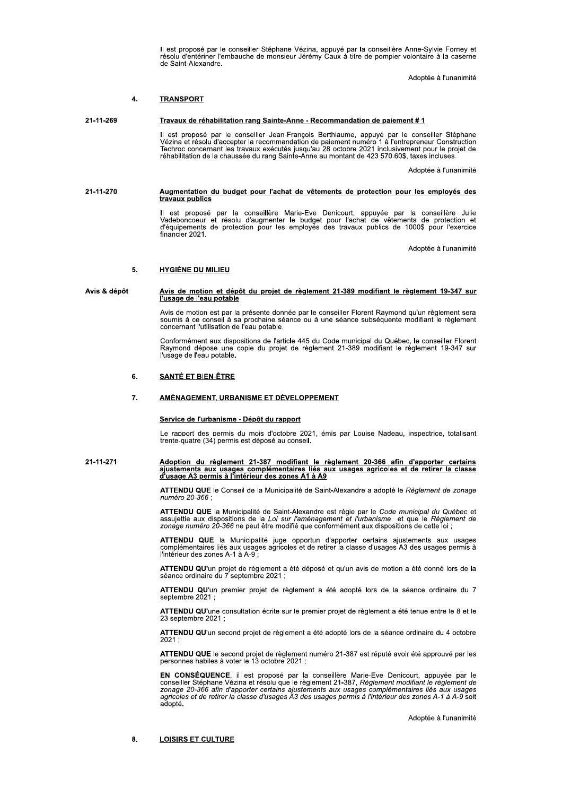Il est proposé par le conseiller Stéphane Vézina, appuyé par la conseillère Anne-Sylvie Forney et<br>résolu d'entériner l'embauche de monsieur Jérémy Caux à titre de pompier volontaire à la caserne de Saint-Alexandre

Adoptée à l'unanimité

### $\overline{4}$ . **TRANSPORT**

### 21-11-269 Travaux de réhabilitation rang Sainte-Anne - Recommandation de paiement #1

Il est proposé par le conseiller Jean-François Berthiaume, appuyé par le conseiller Stéphane<br>Vézina et résolu d'accepter la recommandation de paiement numéro 1 à l'entrepreneur Construction<br>Techroc concernant les travaux e réhabilitation de la chaussée du rang Sainte-Anne au montant de 423 570.60\$, taxes incluses.

Adoptée à l'unanimité

## 21-11-270 Augmentation du budget pour l'achat de vêtements de protection pour les employés des travaux publics

est proposé par la conseillère Marie-Eve Denicourt, appuyée par la conseillère Julie Vadeboncoeur et résolu d'augmenter le budget pour l'achat de vêtements de protection et<br>d'équipements de protection pour les employés des travaux publics de 1000\$ pour l'exercice tinancier 2021.

Adoptée à l'unanimité

#### **HYGIÈNE DU MILIEU** 5.

## Avis de motion et dépôt du projet de règlement 21-389 modifiant le règlement 19-347 sur<br>l'usage de l'eau potable Avis & dépôt

Avis de motion est par la présente donnée par le conseiller Florent Raymond qu'un règlement sera soumis à ce conseil à sa prochaine séance ou à une séance subséquente modifiant le règlement<br>concernant l'utilisation de l'eau potable.

Conformément aux dispositions de l'article 445 du Code municipal du Québec, le conseiller Florent<br>Raymond dépose une copie du projet de règlement 21-389 modifiant le règlement 19-347 sur l'usage de l'eau potable.

#### 6. SANTÉ ET BIEN-ÊTRE

### $\overline{7}$ . AMÉNAGEMENT, URBANISME ET DÉVELOPPEMENT

## Service de l'urbanisme - Dépôt du rapport

Le rapport des permis du mois d'octobre 2021, émis par Louise Nadeau, inspectrice, totalisant trente-quatre (34) permis est déposé au conseil.

## 21-11-271 Adoption du règlement 21-387 modifiant le règlement 20-366 afin d'apporter certains d'usage A3 permis à l'intérieur des zones A1 à A9<br>d'usage agricoles et de retirer la classe<br>d'usage A3 permis à l'intérieur des zones A1 à A9

ATTENDU QUE le Conseil de la Municipalité de Saint-Alexandre a adopté le Règlement de zonage  $num$ éro 20–366 ·

ATTENDU QUE la Municipalité de Saint-Alexandre est régie par le Code municipal du Québec et assujettie aux dispositions de la Loi sur l'aménagement et l'urbanisme et que le Règlement de zonage numéro 20-366 ne peut être mo

ATTENDU QUE la Municipalité juge opportun d'apporter certains ajustements aux usages complémentaires liés aux usages agricoles et de retirer la classe d'usages A3 des usages permis à l'intérieur des zones A-1 à A-9;

ATTENDU QU'un projet de règlement a été déposé et qu'un avis de motion a été donné lors de la<br>séance ordinaire du 7 septembre 2021 ;

ATTENDU QU'un premier projet de règlement a été adopté lors de la séance ordinaire du 7 septembre 2021 :

ATTENDU QU'une consultation écrite sur le premier projet de règlement a été tenue entre le 8 et le  $23$  septembre 2021;

ATTENDU QU'un second projet de règlement a été adopté lors de la séance ordinaire du 4 octobre  $2021;$ 

ATTENDU QUE le second projet de règlement numéro 21-387 est réputé avoir été approuvé par les personnes habiles à voter le 13 octobre 2021 ;

EN CONSÉQUENCE, il est proposé par la conseillère Marie-Eve Denicourt, appuyée par le conseiller Stéphane Vézina et résolu que le règlement 21-387, Règlement modifiant le règlement de zonage 20-366 afin d'apporter certains agricoles et de retirer la classe d'usages A3 des usages permis à l'intérieur des zones A-1 à A-9 soit adopté.

Adoptée à l'unanimité